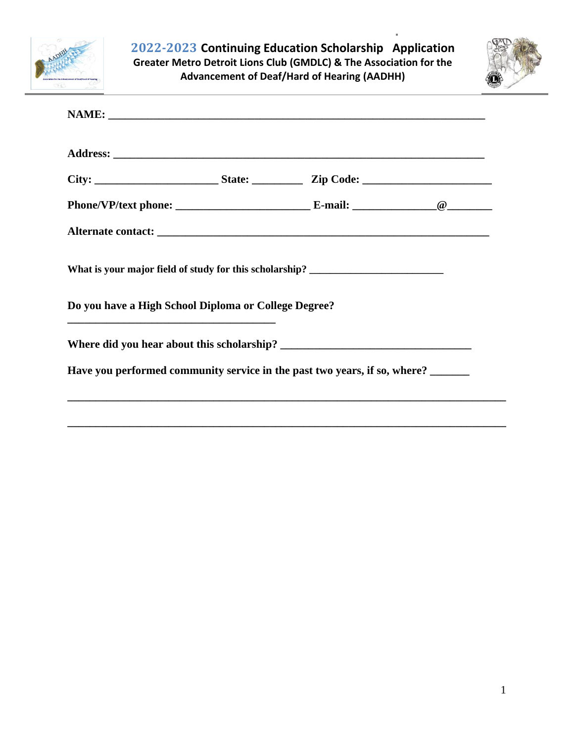



| What is your major field of study for this scholarship? _________________________<br>Do you have a High School Diploma or College Degree? |                                                                           |  |
|-------------------------------------------------------------------------------------------------------------------------------------------|---------------------------------------------------------------------------|--|
|                                                                                                                                           |                                                                           |  |
|                                                                                                                                           | Have you performed community service in the past two years, if so, where? |  |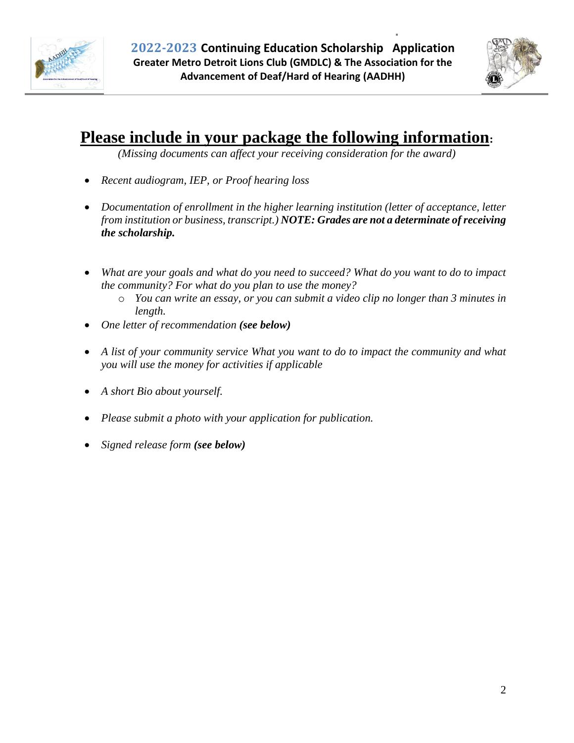



#### **Please include in your package the following information:**

*(Missing documents can affect your receiving consideration for the award)*

- *Recent audiogram, IEP, or Proof hearing loss*
- *Documentation of enrollment in the higher learning institution (letter of acceptance, letter from institution or business, transcript.) NOTE: Grades are not a determinate of receiving the scholarship.*
- *What are your goals and what do you need to succeed? What do you want to do to impact the community? For what do you plan to use the money?*
	- o *You can write an essay, or you can submit a video clip no longer than 3 minutes in length.*
- *One letter of recommendation (see below)*
- *A list of your community service What you want to do to impact the community and what you will use the money for activities if applicable*
- *A short Bio about yourself.*
- *Please submit a photo with your application for publication.*
- *Signed release form (see below)*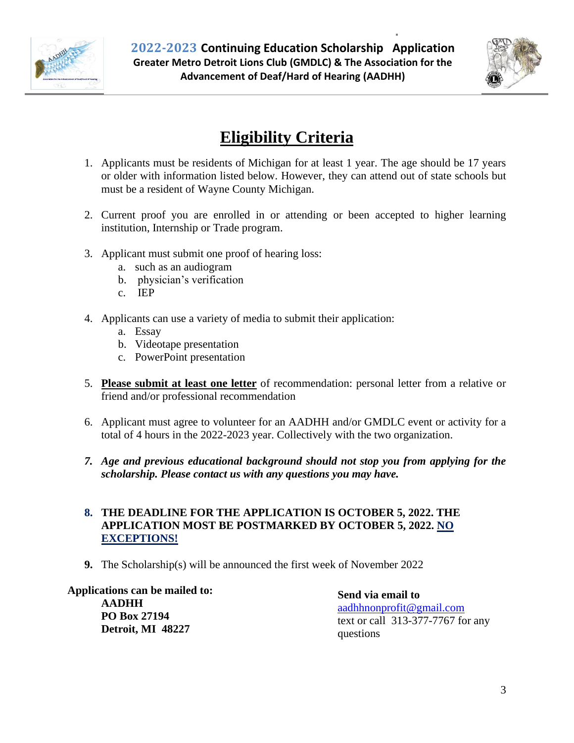



### **Eligibility Criteria**

- 1. Applicants must be residents of Michigan for at least 1 year. The age should be 17 years or older with information listed below. However, they can attend out of state schools but must be a resident of Wayne County Michigan.
- 2. Current proof you are enrolled in or attending or been accepted to higher learning institution, Internship or Trade program.
- 3. Applicant must submit one proof of hearing loss:
	- a. such as an audiogram
	- b. physician's verification
	- c. IEP
- 4. Applicants can use a variety of media to submit their application:
	- a. Essay
	- b. Videotape presentation
	- c. PowerPoint presentation
- 5. **Please submit at least one letter** of recommendation: personal letter from a relative or friend and/or professional recommendation
- 6. Applicant must agree to volunteer for an AADHH and/or GMDLC event or activity for a total of 4 hours in the 2022-2023 year. Collectively with the two organization.
- *7. Age and previous educational background should not stop you from applying for the scholarship. Please contact us with any questions you may have.*

#### **8. THE DEADLINE FOR THE APPLICATION IS OCTOBER 5, 2022. THE APPLICATION MOST BE POSTMARKED BY OCTOBER 5, 2022. NO EXCEPTIONS!**

**9.** The Scholarship(s) will be announced the first week of November 2022

**Applications can be mailed to:**

**AADHH PO Box 27194 Detroit, MI 48227** **Send via email to**  [aadhhnonprofit@gmail.com](mailto:aadhhnonprofit@gmail.com) text or call 313-377-7767 for any questions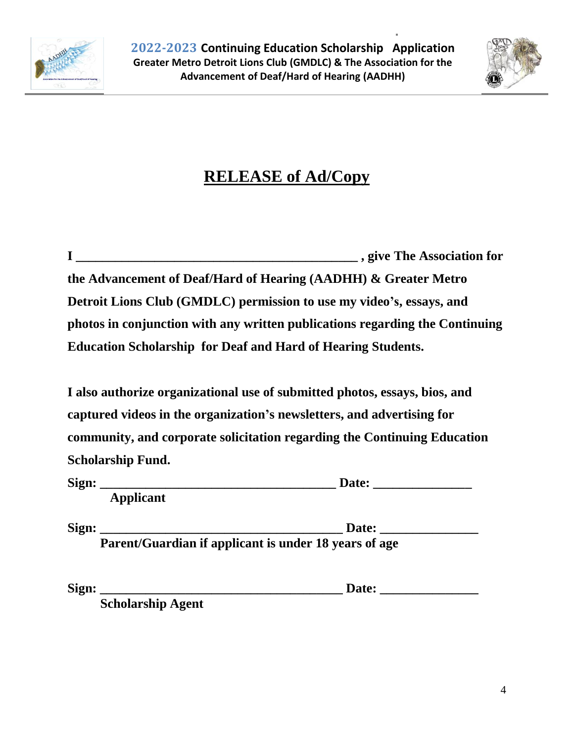



## **RELEASE of Ad/Copy**

|                                                                              | example 2.5 years of the Association for |
|------------------------------------------------------------------------------|------------------------------------------|
| the Advancement of Deaf/Hard of Hearing (AADHH) & Greater Metro              |                                          |
| Detroit Lions Club (GMDLC) permission to use my video's, essays, and         |                                          |
| photos in conjunction with any written publications regarding the Continuing |                                          |
| <b>Education Scholarship for Deaf and Hard of Hearing Students.</b>          |                                          |

**I also authorize organizational use of submitted photos, essays, bios, and captured videos in the organization's newsletters, and advertising for community, and corporate solicitation regarding the Continuing Education Scholarship Fund.**

| Sign: |                  | Date: |
|-------|------------------|-------|
|       | <b>Applicant</b> |       |

**Sign: \_\_\_\_\_\_\_\_\_\_\_\_\_\_\_\_\_\_\_\_\_\_\_\_\_\_\_\_\_\_\_\_\_\_\_\_\_ Date: \_\_\_\_\_\_\_\_\_\_\_\_\_\_\_ Parent/Guardian if applicant is under 18 years of age**

**Sign: \_\_\_\_\_\_\_\_\_\_\_\_\_\_\_\_\_\_\_\_\_\_\_\_\_\_\_\_\_\_\_\_\_\_\_\_\_ Date: \_\_\_\_\_\_\_\_\_\_\_\_\_\_\_**

 **Scholarship Agent**